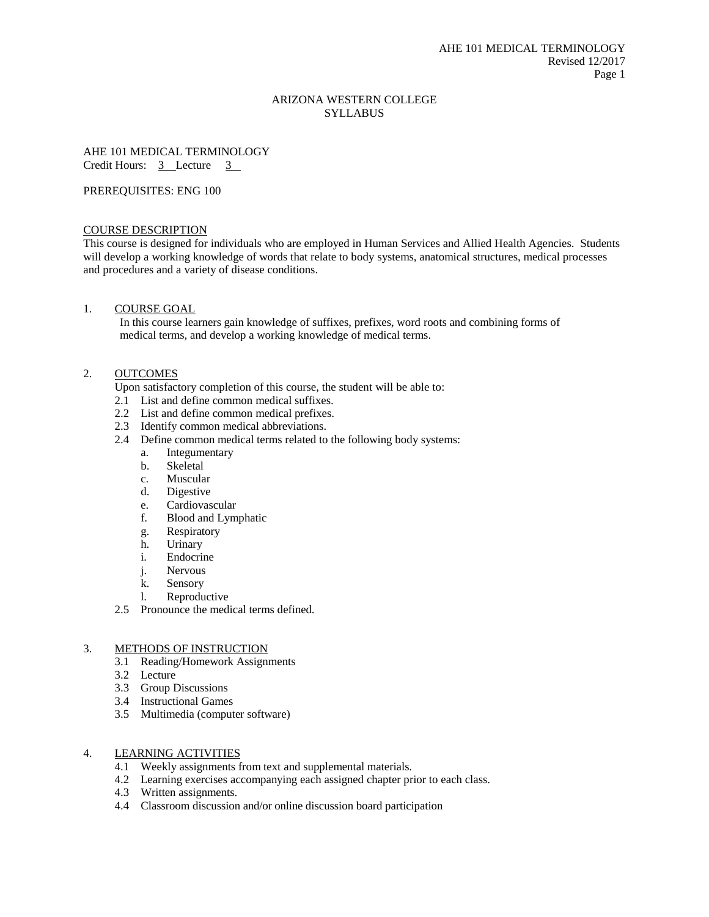## ARIZONA WESTERN COLLEGE SYLLABUS

AHE 101 MEDICAL TERMINOLOGY Credit Hours: 3 Lecture 3

#### PREREQUISITES: ENG 100

### COURSE DESCRIPTION

This course is designed for individuals who are employed in Human Services and Allied Health Agencies. Students will develop a working knowledge of words that relate to body systems, anatomical structures, medical processes and procedures and a variety of disease conditions.

#### 1. COURSE GOAL

In this course learners gain knowledge of suffixes, prefixes, word roots and combining forms of medical terms, and develop a working knowledge of medical terms.

### 2. OUTCOMES

Upon satisfactory completion of this course, the student will be able to:

- 2.1 List and define common medical suffixes.
- 2.2 List and define common medical prefixes.
- 2.3 Identify common medical abbreviations.
- 2.4 Define common medical terms related to the following body systems:
	- a. Integumentary
	- b. Skeletal
	- c. Muscular
	- d. Digestive
	- e. Cardiovascular
	- f. Blood and Lymphatic
	- g. Respiratory
	- h. Urinary
	- i. Endocrine
	- j. Nervous
	- k. Sensory
	- l. Reproductive
- 2.5 Pronounce the medical terms defined.

#### 3. METHODS OF INSTRUCTION

- 3.1 Reading/Homework Assignments
- 3.2 Lecture
- 3.3 Group Discussions
- 3.4 Instructional Games
- 3.5 Multimedia (computer software)

# 4. LEARNING ACTIVITIES

- 4.1 Weekly assignments from text and supplemental materials.
- 4.2 Learning exercises accompanying each assigned chapter prior to each class.
- 4.3 Written assignments.
- 4.4 Classroom discussion and/or online discussion board participation